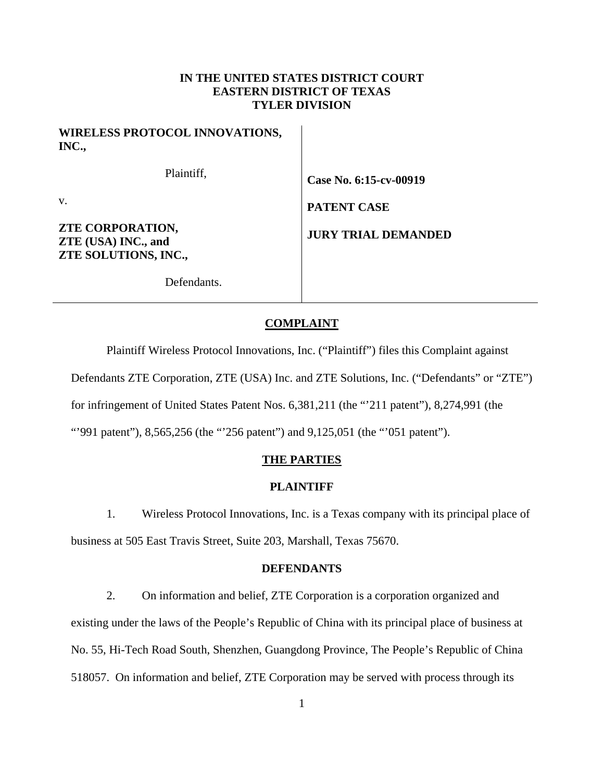# **IN THE UNITED STATES DISTRICT COURT EASTERN DISTRICT OF TEXAS TYLER DIVISION**

| <b>WIRELESS PROTOCOL INNOVATIONS,</b><br>INC.,                         |                            |
|------------------------------------------------------------------------|----------------------------|
| Plaintiff,                                                             | Case No. 6:15-cv-00919     |
| V.                                                                     | <b>PATENT CASE</b>         |
| <b>ZTE CORPORATION,</b><br>ZTE (USA) INC., and<br>ZTE SOLUTIONS, INC., | <b>JURY TRIAL DEMANDED</b> |

Defendants.

# **COMPLAINT**

Plaintiff Wireless Protocol Innovations, Inc. ("Plaintiff") files this Complaint against

Defendants ZTE Corporation, ZTE (USA) Inc. and ZTE Solutions, Inc. ("Defendants" or "ZTE")

for infringement of United States Patent Nos. 6,381,211 (the "'211 patent"), 8,274,991 (the

"991 patent"), 8,565,256 (the "256 patent") and 9,125,051 (the "051 patent").

## **THE PARTIES**

## **PLAINTIFF**

1. Wireless Protocol Innovations, Inc. is a Texas company with its principal place of

business at 505 East Travis Street, Suite 203, Marshall, Texas 75670.

## **DEFENDANTS**

2. On information and belief, ZTE Corporation is a corporation organized and existing under the laws of the People's Republic of China with its principal place of business at No. 55, Hi-Tech Road South, Shenzhen, Guangdong Province, The People's Republic of China 518057. On information and belief, ZTE Corporation may be served with process through its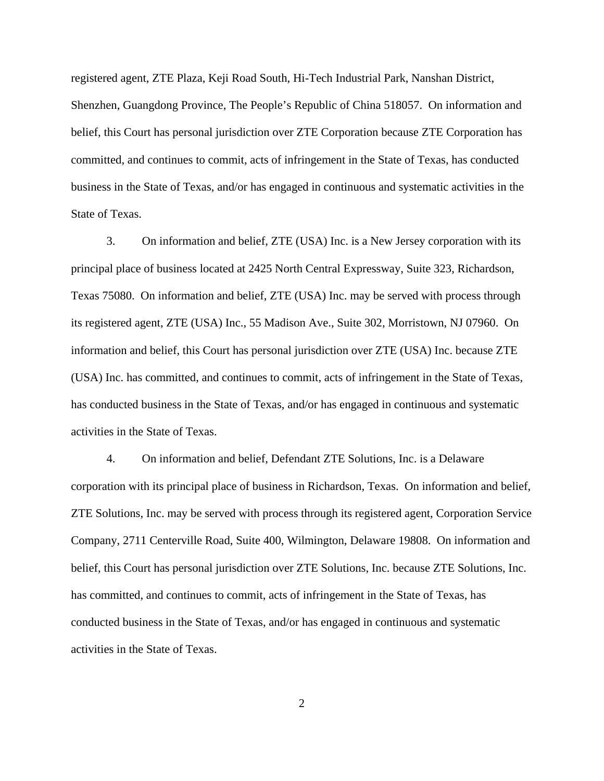registered agent, ZTE Plaza, Keji Road South, Hi-Tech Industrial Park, Nanshan District, Shenzhen, Guangdong Province, The People's Republic of China 518057. On information and belief, this Court has personal jurisdiction over ZTE Corporation because ZTE Corporation has committed, and continues to commit, acts of infringement in the State of Texas, has conducted business in the State of Texas, and/or has engaged in continuous and systematic activities in the State of Texas.

3. On information and belief, ZTE (USA) Inc. is a New Jersey corporation with its principal place of business located at 2425 North Central Expressway, Suite 323, Richardson, Texas 75080. On information and belief, ZTE (USA) Inc. may be served with process through its registered agent, ZTE (USA) Inc., 55 Madison Ave., Suite 302, Morristown, NJ 07960. On information and belief, this Court has personal jurisdiction over ZTE (USA) Inc. because ZTE (USA) Inc. has committed, and continues to commit, acts of infringement in the State of Texas, has conducted business in the State of Texas, and/or has engaged in continuous and systematic activities in the State of Texas.

4. On information and belief, Defendant ZTE Solutions, Inc. is a Delaware corporation with its principal place of business in Richardson, Texas. On information and belief, ZTE Solutions, Inc. may be served with process through its registered agent, Corporation Service Company, 2711 Centerville Road, Suite 400, Wilmington, Delaware 19808. On information and belief, this Court has personal jurisdiction over ZTE Solutions, Inc. because ZTE Solutions, Inc. has committed, and continues to commit, acts of infringement in the State of Texas, has conducted business in the State of Texas, and/or has engaged in continuous and systematic activities in the State of Texas.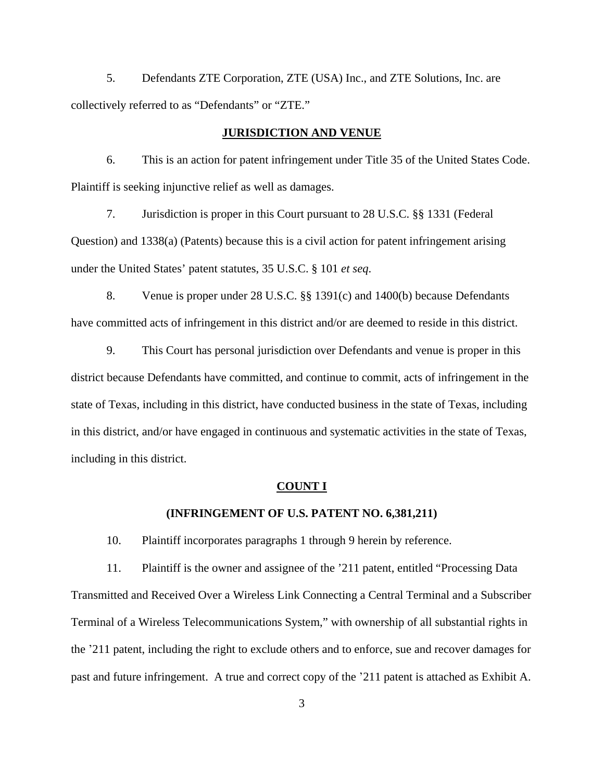5. Defendants ZTE Corporation, ZTE (USA) Inc., and ZTE Solutions, Inc. are collectively referred to as "Defendants" or "ZTE."

# **JURISDICTION AND VENUE**

6. This is an action for patent infringement under Title 35 of the United States Code. Plaintiff is seeking injunctive relief as well as damages.

7. Jurisdiction is proper in this Court pursuant to 28 U.S.C. §§ 1331 (Federal Question) and 1338(a) (Patents) because this is a civil action for patent infringement arising under the United States' patent statutes, 35 U.S.C. § 101 *et seq*.

8. Venue is proper under 28 U.S.C. §§ 1391(c) and 1400(b) because Defendants have committed acts of infringement in this district and/or are deemed to reside in this district.

9. This Court has personal jurisdiction over Defendants and venue is proper in this district because Defendants have committed, and continue to commit, acts of infringement in the state of Texas, including in this district, have conducted business in the state of Texas, including in this district, and/or have engaged in continuous and systematic activities in the state of Texas, including in this district.

#### **COUNT I**

### **(INFRINGEMENT OF U.S. PATENT NO. 6,381,211)**

10. Plaintiff incorporates paragraphs 1 through 9 herein by reference.

11. Plaintiff is the owner and assignee of the '211 patent, entitled "Processing Data Transmitted and Received Over a Wireless Link Connecting a Central Terminal and a Subscriber Terminal of a Wireless Telecommunications System," with ownership of all substantial rights in the '211 patent, including the right to exclude others and to enforce, sue and recover damages for past and future infringement. A true and correct copy of the '211 patent is attached as Exhibit A.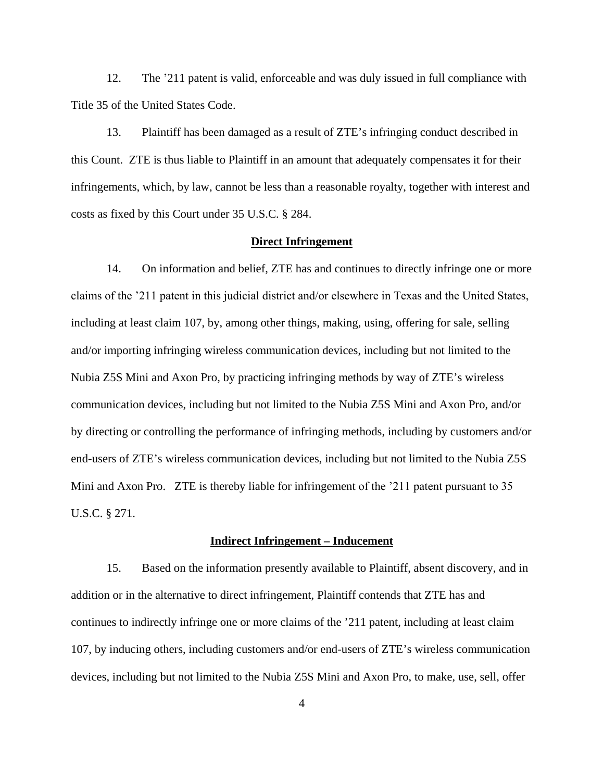12. The '211 patent is valid, enforceable and was duly issued in full compliance with Title 35 of the United States Code.

13. Plaintiff has been damaged as a result of ZTE's infringing conduct described in this Count. ZTE is thus liable to Plaintiff in an amount that adequately compensates it for their infringements, which, by law, cannot be less than a reasonable royalty, together with interest and costs as fixed by this Court under 35 U.S.C. § 284.

# **Direct Infringement**

14. On information and belief, ZTE has and continues to directly infringe one or more claims of the '211 patent in this judicial district and/or elsewhere in Texas and the United States, including at least claim 107, by, among other things, making, using, offering for sale, selling and/or importing infringing wireless communication devices, including but not limited to the Nubia Z5S Mini and Axon Pro, by practicing infringing methods by way of ZTE's wireless communication devices, including but not limited to the Nubia Z5S Mini and Axon Pro, and/or by directing or controlling the performance of infringing methods, including by customers and/or end-users of ZTE's wireless communication devices, including but not limited to the Nubia Z5S Mini and Axon Pro. ZTE is thereby liable for infringement of the '211 patent pursuant to 35 U.S.C. § 271.

## **Indirect Infringement – Inducement**

15. Based on the information presently available to Plaintiff, absent discovery, and in addition or in the alternative to direct infringement, Plaintiff contends that ZTE has and continues to indirectly infringe one or more claims of the '211 patent, including at least claim 107, by inducing others, including customers and/or end-users of ZTE's wireless communication devices, including but not limited to the Nubia Z5S Mini and Axon Pro, to make, use, sell, offer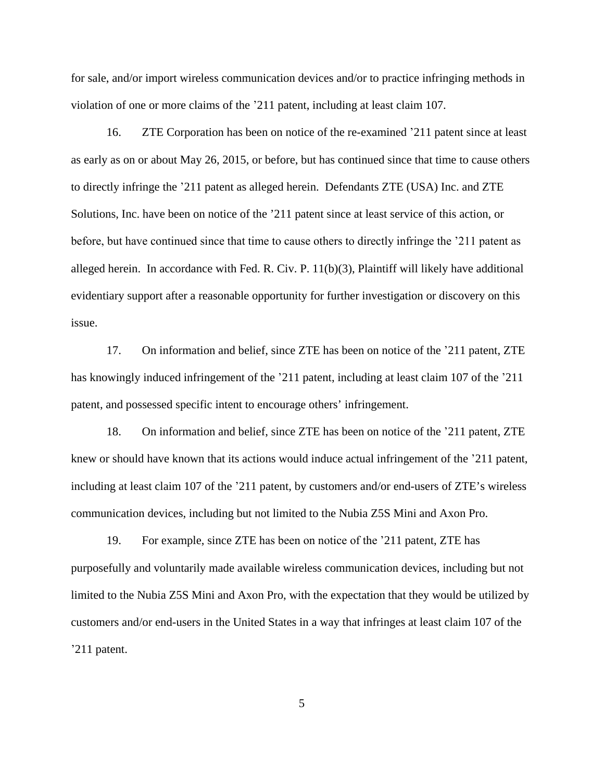for sale, and/or import wireless communication devices and/or to practice infringing methods in violation of one or more claims of the '211 patent, including at least claim 107.

16. ZTE Corporation has been on notice of the re-examined '211 patent since at least as early as on or about May 26, 2015, or before, but has continued since that time to cause others to directly infringe the '211 patent as alleged herein. Defendants ZTE (USA) Inc. and ZTE Solutions, Inc. have been on notice of the '211 patent since at least service of this action, or before, but have continued since that time to cause others to directly infringe the '211 patent as alleged herein. In accordance with Fed. R. Civ. P. 11(b)(3), Plaintiff will likely have additional evidentiary support after a reasonable opportunity for further investigation or discovery on this issue.

17. On information and belief, since ZTE has been on notice of the '211 patent, ZTE has knowingly induced infringement of the '211 patent, including at least claim 107 of the '211 patent, and possessed specific intent to encourage others' infringement.

18. On information and belief, since ZTE has been on notice of the '211 patent, ZTE knew or should have known that its actions would induce actual infringement of the '211 patent, including at least claim 107 of the '211 patent, by customers and/or end-users of ZTE's wireless communication devices, including but not limited to the Nubia Z5S Mini and Axon Pro.

19. For example, since ZTE has been on notice of the '211 patent, ZTE has purposefully and voluntarily made available wireless communication devices, including but not limited to the Nubia Z5S Mini and Axon Pro, with the expectation that they would be utilized by customers and/or end-users in the United States in a way that infringes at least claim 107 of the '211 patent.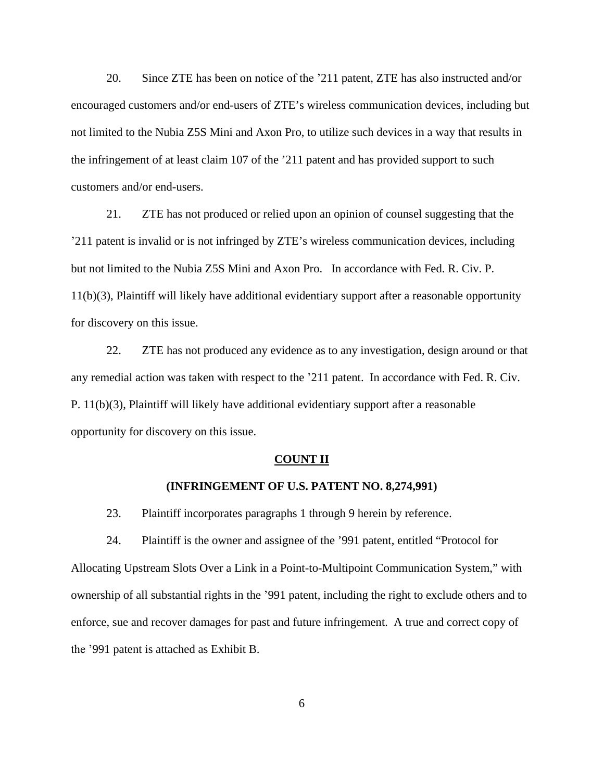20. Since ZTE has been on notice of the '211 patent, ZTE has also instructed and/or encouraged customers and/or end-users of ZTE's wireless communication devices, including but not limited to the Nubia Z5S Mini and Axon Pro, to utilize such devices in a way that results in the infringement of at least claim 107 of the '211 patent and has provided support to such customers and/or end-users.

21. ZTE has not produced or relied upon an opinion of counsel suggesting that the '211 patent is invalid or is not infringed by ZTE's wireless communication devices, including but not limited to the Nubia Z5S Mini and Axon Pro. In accordance with Fed. R. Civ. P. 11(b)(3), Plaintiff will likely have additional evidentiary support after a reasonable opportunity for discovery on this issue.

22. ZTE has not produced any evidence as to any investigation, design around or that any remedial action was taken with respect to the '211 patent. In accordance with Fed. R. Civ. P. 11(b)(3), Plaintiff will likely have additional evidentiary support after a reasonable opportunity for discovery on this issue.

#### **COUNT II**

# **(INFRINGEMENT OF U.S. PATENT NO. 8,274,991)**

23. Plaintiff incorporates paragraphs 1 through 9 herein by reference.

24. Plaintiff is the owner and assignee of the '991 patent, entitled "Protocol for Allocating Upstream Slots Over a Link in a Point-to-Multipoint Communication System," with ownership of all substantial rights in the '991 patent, including the right to exclude others and to enforce, sue and recover damages for past and future infringement. A true and correct copy of the '991 patent is attached as Exhibit B.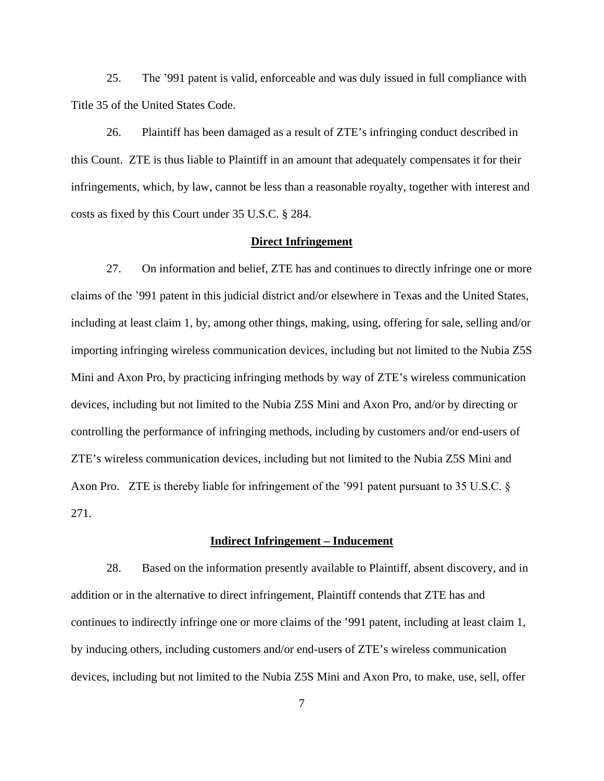25. The '991 patent is valid, enforceable and was duly issued in full compliance with Title 35 of the United States Code.

26. Plaintiff has been damaged as a result of ZTE's infringing conduct described in this Count. ZTE is thus liable to Plaintiff in an amount that adequately compensates it for their infringements, which, by law, cannot be less than a reasonable royalty, together with interest and costs as fixed by this Court under 35 U.S.C. § 284.

# **Direct Infringement**

27. On information and belief, ZTE has and continues to directly infringe one or more claims of the '991 patent in this judicial district and/or elsewhere in Texas and the United States, including at least claim 1, by, among other things, making, using, offering for sale, selling and/or importing infringing wireless communication devices, including but not limited to the Nubia Z5S Mini and Axon Pro, by practicing infringing methods by way of ZTE's wireless communication devices, including but not limited to the Nubia Z5S Mini and Axon Pro, and/or by directing or controlling the performance of infringing methods, including by customers and/or end-users of ZTE's wireless communication devices, including but not limited to the Nubia Z5S Mini and Axon Pro. ZTE is thereby liable for infringement of the '991 patent pursuant to 35 U.S.C. § 271.

#### **Indirect Infringement – Inducement**

28. Based on the information presently available to Plaintiff, absent discovery, and in addition or in the alternative to direct infringement, Plaintiff contends that ZTE has and continues to indirectly infringe one or more claims of the '991 patent, including at least claim 1, by inducing others, including customers and/or end-users of ZTE's wireless communication devices, including but not limited to the Nubia Z5S Mini and Axon Pro, to make, use, sell, offer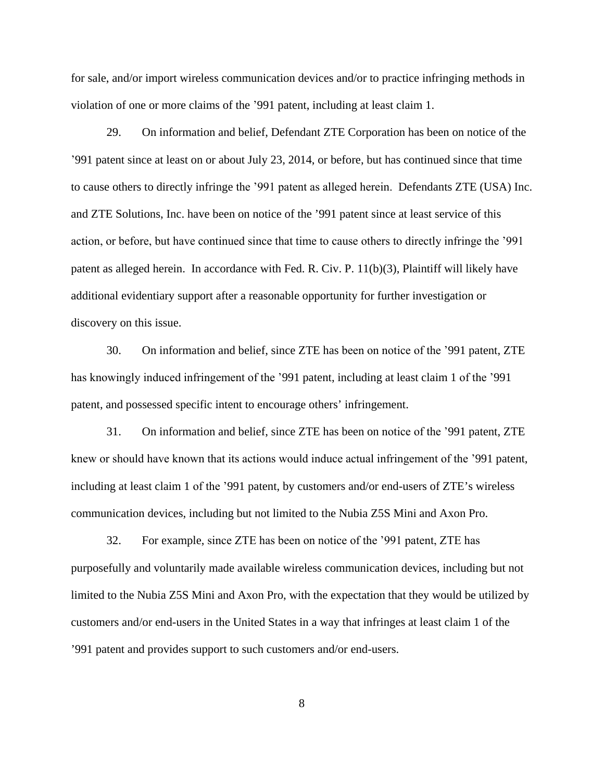for sale, and/or import wireless communication devices and/or to practice infringing methods in violation of one or more claims of the '991 patent, including at least claim 1.

29. On information and belief, Defendant ZTE Corporation has been on notice of the '991 patent since at least on or about July 23, 2014, or before, but has continued since that time to cause others to directly infringe the '991 patent as alleged herein. Defendants ZTE (USA) Inc. and ZTE Solutions, Inc. have been on notice of the '991 patent since at least service of this action, or before, but have continued since that time to cause others to directly infringe the '991 patent as alleged herein. In accordance with Fed. R. Civ. P. 11(b)(3), Plaintiff will likely have additional evidentiary support after a reasonable opportunity for further investigation or discovery on this issue.

30. On information and belief, since ZTE has been on notice of the '991 patent, ZTE has knowingly induced infringement of the '991 patent, including at least claim 1 of the '991 patent, and possessed specific intent to encourage others' infringement.

31. On information and belief, since ZTE has been on notice of the '991 patent, ZTE knew or should have known that its actions would induce actual infringement of the '991 patent, including at least claim 1 of the '991 patent, by customers and/or end-users of ZTE's wireless communication devices, including but not limited to the Nubia Z5S Mini and Axon Pro.

32. For example, since ZTE has been on notice of the '991 patent, ZTE has purposefully and voluntarily made available wireless communication devices, including but not limited to the Nubia Z5S Mini and Axon Pro, with the expectation that they would be utilized by customers and/or end-users in the United States in a way that infringes at least claim 1 of the '991 patent and provides support to such customers and/or end-users.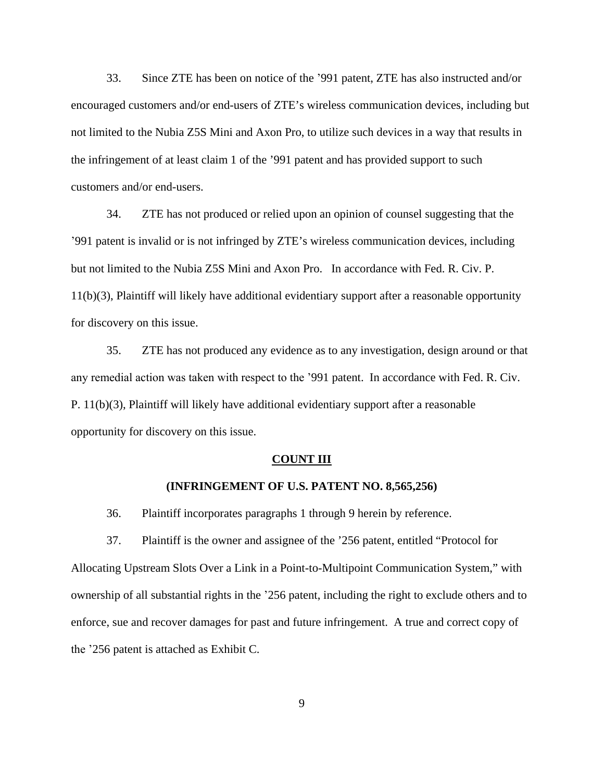33. Since ZTE has been on notice of the '991 patent, ZTE has also instructed and/or encouraged customers and/or end-users of ZTE's wireless communication devices, including but not limited to the Nubia Z5S Mini and Axon Pro, to utilize such devices in a way that results in the infringement of at least claim 1 of the '991 patent and has provided support to such customers and/or end-users.

34. ZTE has not produced or relied upon an opinion of counsel suggesting that the '991 patent is invalid or is not infringed by ZTE's wireless communication devices, including but not limited to the Nubia Z5S Mini and Axon Pro. In accordance with Fed. R. Civ. P. 11(b)(3), Plaintiff will likely have additional evidentiary support after a reasonable opportunity for discovery on this issue.

35. ZTE has not produced any evidence as to any investigation, design around or that any remedial action was taken with respect to the '991 patent. In accordance with Fed. R. Civ. P. 11(b)(3), Plaintiff will likely have additional evidentiary support after a reasonable opportunity for discovery on this issue.

## **COUNT III**

# **(INFRINGEMENT OF U.S. PATENT NO. 8,565,256)**

36. Plaintiff incorporates paragraphs 1 through 9 herein by reference.

37. Plaintiff is the owner and assignee of the '256 patent, entitled "Protocol for Allocating Upstream Slots Over a Link in a Point-to-Multipoint Communication System," with ownership of all substantial rights in the '256 patent, including the right to exclude others and to enforce, sue and recover damages for past and future infringement. A true and correct copy of the '256 patent is attached as Exhibit C.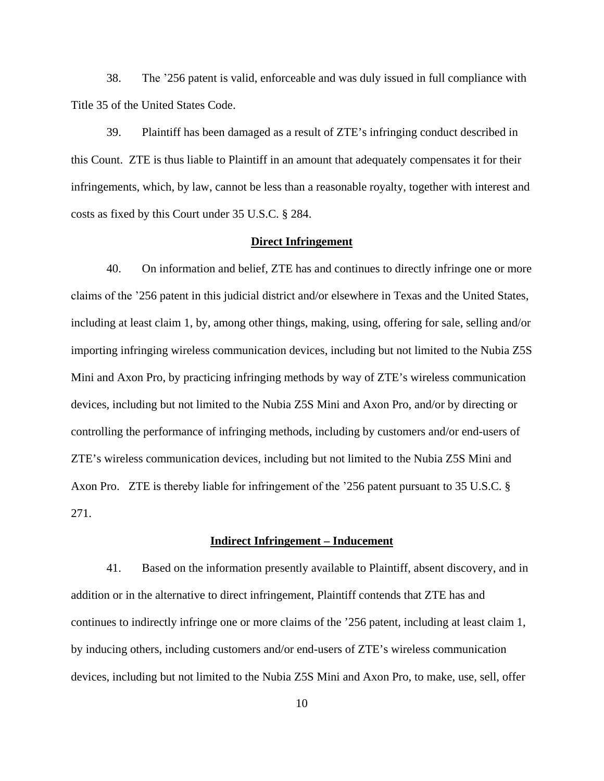38. The '256 patent is valid, enforceable and was duly issued in full compliance with Title 35 of the United States Code.

39. Plaintiff has been damaged as a result of ZTE's infringing conduct described in this Count. ZTE is thus liable to Plaintiff in an amount that adequately compensates it for their infringements, which, by law, cannot be less than a reasonable royalty, together with interest and costs as fixed by this Court under 35 U.S.C. § 284.

# **Direct Infringement**

40. On information and belief, ZTE has and continues to directly infringe one or more claims of the '256 patent in this judicial district and/or elsewhere in Texas and the United States, including at least claim 1, by, among other things, making, using, offering for sale, selling and/or importing infringing wireless communication devices, including but not limited to the Nubia Z5S Mini and Axon Pro, by practicing infringing methods by way of ZTE's wireless communication devices, including but not limited to the Nubia Z5S Mini and Axon Pro, and/or by directing or controlling the performance of infringing methods, including by customers and/or end-users of ZTE's wireless communication devices, including but not limited to the Nubia Z5S Mini and Axon Pro. ZTE is thereby liable for infringement of the '256 patent pursuant to 35 U.S.C. § 271.

#### **Indirect Infringement – Inducement**

41. Based on the information presently available to Plaintiff, absent discovery, and in addition or in the alternative to direct infringement, Plaintiff contends that ZTE has and continues to indirectly infringe one or more claims of the '256 patent, including at least claim 1, by inducing others, including customers and/or end-users of ZTE's wireless communication devices, including but not limited to the Nubia Z5S Mini and Axon Pro, to make, use, sell, offer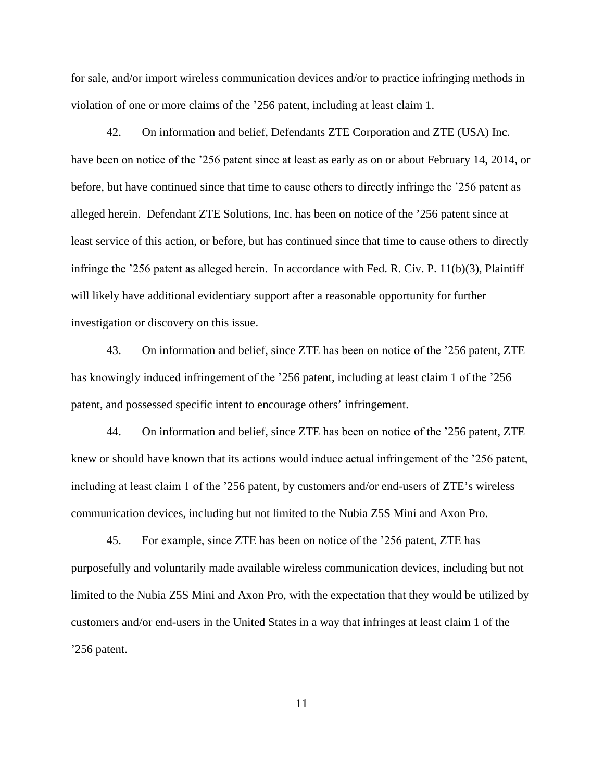for sale, and/or import wireless communication devices and/or to practice infringing methods in violation of one or more claims of the '256 patent, including at least claim 1.

42. On information and belief, Defendants ZTE Corporation and ZTE (USA) Inc. have been on notice of the '256 patent since at least as early as on or about February 14, 2014, or before, but have continued since that time to cause others to directly infringe the '256 patent as alleged herein. Defendant ZTE Solutions, Inc. has been on notice of the '256 patent since at least service of this action, or before, but has continued since that time to cause others to directly infringe the '256 patent as alleged herein. In accordance with Fed. R. Civ. P. 11(b)(3), Plaintiff will likely have additional evidentiary support after a reasonable opportunity for further investigation or discovery on this issue.

43. On information and belief, since ZTE has been on notice of the '256 patent, ZTE has knowingly induced infringement of the '256 patent, including at least claim 1 of the '256 patent, and possessed specific intent to encourage others' infringement.

44. On information and belief, since ZTE has been on notice of the '256 patent, ZTE knew or should have known that its actions would induce actual infringement of the '256 patent, including at least claim 1 of the '256 patent, by customers and/or end-users of ZTE's wireless communication devices, including but not limited to the Nubia Z5S Mini and Axon Pro.

45. For example, since ZTE has been on notice of the '256 patent, ZTE has purposefully and voluntarily made available wireless communication devices, including but not limited to the Nubia Z5S Mini and Axon Pro, with the expectation that they would be utilized by customers and/or end-users in the United States in a way that infringes at least claim 1 of the '256 patent.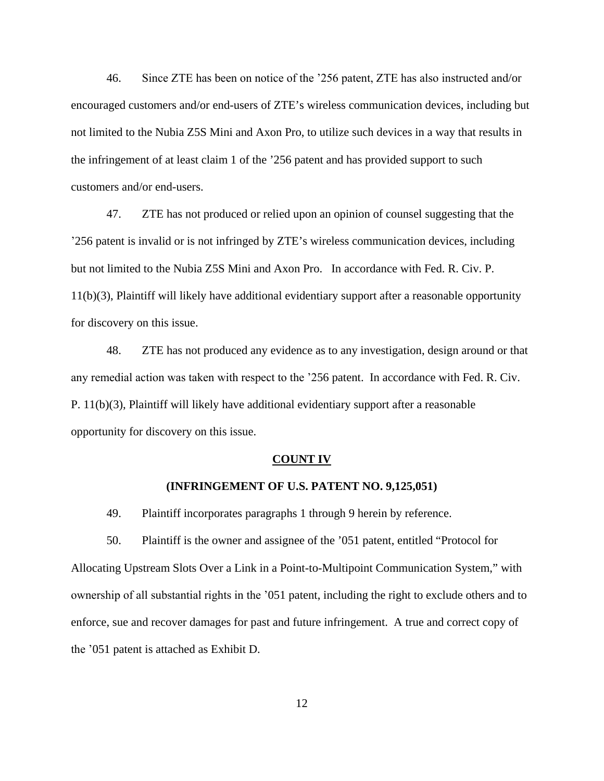46. Since ZTE has been on notice of the '256 patent, ZTE has also instructed and/or encouraged customers and/or end-users of ZTE's wireless communication devices, including but not limited to the Nubia Z5S Mini and Axon Pro, to utilize such devices in a way that results in the infringement of at least claim 1 of the '256 patent and has provided support to such customers and/or end-users.

47. ZTE has not produced or relied upon an opinion of counsel suggesting that the '256 patent is invalid or is not infringed by ZTE's wireless communication devices, including but not limited to the Nubia Z5S Mini and Axon Pro. In accordance with Fed. R. Civ. P. 11(b)(3), Plaintiff will likely have additional evidentiary support after a reasonable opportunity for discovery on this issue.

48. ZTE has not produced any evidence as to any investigation, design around or that any remedial action was taken with respect to the '256 patent. In accordance with Fed. R. Civ. P. 11(b)(3), Plaintiff will likely have additional evidentiary support after a reasonable opportunity for discovery on this issue.

#### **COUNT IV**

# **(INFRINGEMENT OF U.S. PATENT NO. 9,125,051)**

49. Plaintiff incorporates paragraphs 1 through 9 herein by reference.

50. Plaintiff is the owner and assignee of the '051 patent, entitled "Protocol for Allocating Upstream Slots Over a Link in a Point-to-Multipoint Communication System," with ownership of all substantial rights in the '051 patent, including the right to exclude others and to enforce, sue and recover damages for past and future infringement. A true and correct copy of the '051 patent is attached as Exhibit D.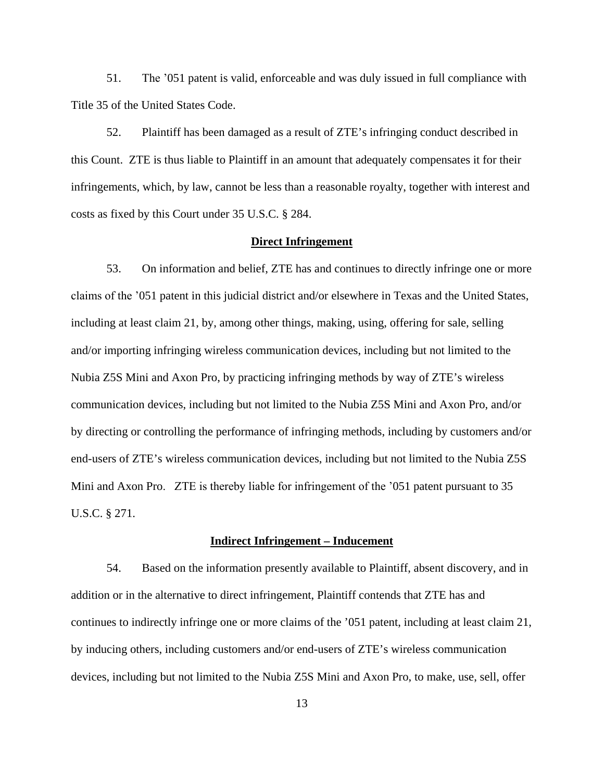51. The '051 patent is valid, enforceable and was duly issued in full compliance with Title 35 of the United States Code.

52. Plaintiff has been damaged as a result of ZTE's infringing conduct described in this Count. ZTE is thus liable to Plaintiff in an amount that adequately compensates it for their infringements, which, by law, cannot be less than a reasonable royalty, together with interest and costs as fixed by this Court under 35 U.S.C. § 284.

# **Direct Infringement**

53. On information and belief, ZTE has and continues to directly infringe one or more claims of the '051 patent in this judicial district and/or elsewhere in Texas and the United States, including at least claim 21, by, among other things, making, using, offering for sale, selling and/or importing infringing wireless communication devices, including but not limited to the Nubia Z5S Mini and Axon Pro, by practicing infringing methods by way of ZTE's wireless communication devices, including but not limited to the Nubia Z5S Mini and Axon Pro, and/or by directing or controlling the performance of infringing methods, including by customers and/or end-users of ZTE's wireless communication devices, including but not limited to the Nubia Z5S Mini and Axon Pro. ZTE is thereby liable for infringement of the '051 patent pursuant to 35 U.S.C. § 271.

## **Indirect Infringement – Inducement**

54. Based on the information presently available to Plaintiff, absent discovery, and in addition or in the alternative to direct infringement, Plaintiff contends that ZTE has and continues to indirectly infringe one or more claims of the '051 patent, including at least claim 21, by inducing others, including customers and/or end-users of ZTE's wireless communication devices, including but not limited to the Nubia Z5S Mini and Axon Pro, to make, use, sell, offer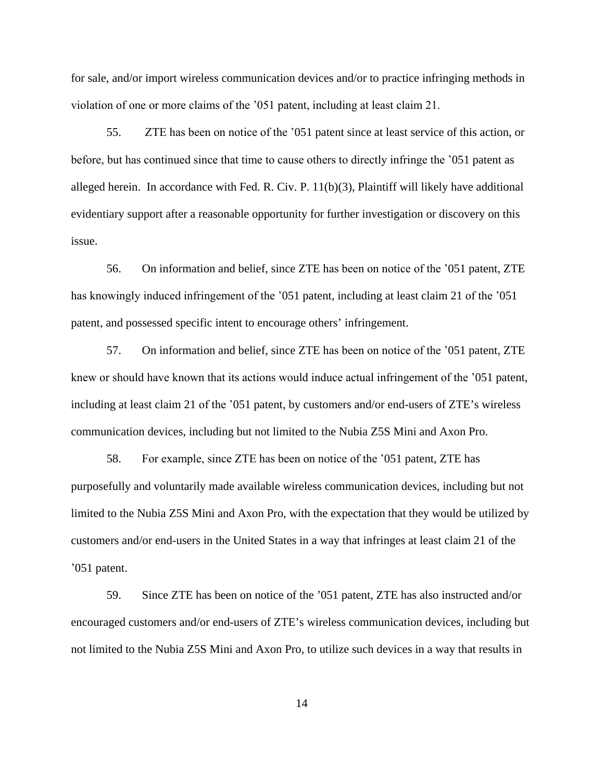for sale, and/or import wireless communication devices and/or to practice infringing methods in violation of one or more claims of the '051 patent, including at least claim 21.

55. ZTE has been on notice of the '051 patent since at least service of this action, or before, but has continued since that time to cause others to directly infringe the '051 patent as alleged herein. In accordance with Fed. R. Civ. P. 11(b)(3), Plaintiff will likely have additional evidentiary support after a reasonable opportunity for further investigation or discovery on this issue.

56. On information and belief, since ZTE has been on notice of the '051 patent, ZTE has knowingly induced infringement of the '051 patent, including at least claim 21 of the '051 patent, and possessed specific intent to encourage others' infringement.

57. On information and belief, since ZTE has been on notice of the '051 patent, ZTE knew or should have known that its actions would induce actual infringement of the '051 patent, including at least claim 21 of the '051 patent, by customers and/or end-users of ZTE's wireless communication devices, including but not limited to the Nubia Z5S Mini and Axon Pro.

58. For example, since ZTE has been on notice of the '051 patent, ZTE has purposefully and voluntarily made available wireless communication devices, including but not limited to the Nubia Z5S Mini and Axon Pro, with the expectation that they would be utilized by customers and/or end-users in the United States in a way that infringes at least claim 21 of the '051 patent.

59. Since ZTE has been on notice of the '051 patent, ZTE has also instructed and/or encouraged customers and/or end-users of ZTE's wireless communication devices, including but not limited to the Nubia Z5S Mini and Axon Pro, to utilize such devices in a way that results in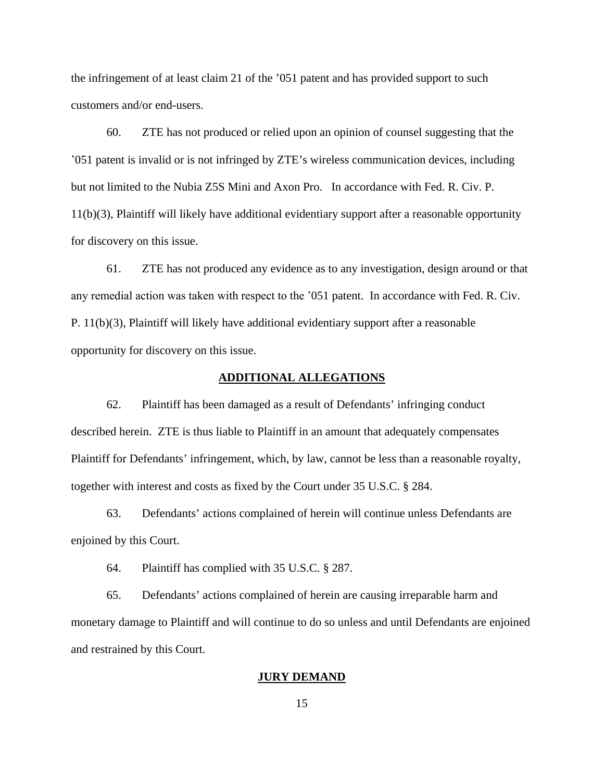the infringement of at least claim 21 of the '051 patent and has provided support to such customers and/or end-users.

60. ZTE has not produced or relied upon an opinion of counsel suggesting that the '051 patent is invalid or is not infringed by ZTE's wireless communication devices, including but not limited to the Nubia Z5S Mini and Axon Pro. In accordance with Fed. R. Civ. P. 11(b)(3), Plaintiff will likely have additional evidentiary support after a reasonable opportunity for discovery on this issue.

61. ZTE has not produced any evidence as to any investigation, design around or that any remedial action was taken with respect to the '051 patent. In accordance with Fed. R. Civ. P. 11(b)(3), Plaintiff will likely have additional evidentiary support after a reasonable opportunity for discovery on this issue.

## **ADDITIONAL ALLEGATIONS**

62. Plaintiff has been damaged as a result of Defendants' infringing conduct described herein. ZTE is thus liable to Plaintiff in an amount that adequately compensates Plaintiff for Defendants' infringement, which, by law, cannot be less than a reasonable royalty, together with interest and costs as fixed by the Court under 35 U.S.C. § 284.

63. Defendants' actions complained of herein will continue unless Defendants are enjoined by this Court.

64. Plaintiff has complied with 35 U.S.C. § 287.

65. Defendants' actions complained of herein are causing irreparable harm and monetary damage to Plaintiff and will continue to do so unless and until Defendants are enjoined and restrained by this Court.

#### **JURY DEMAND**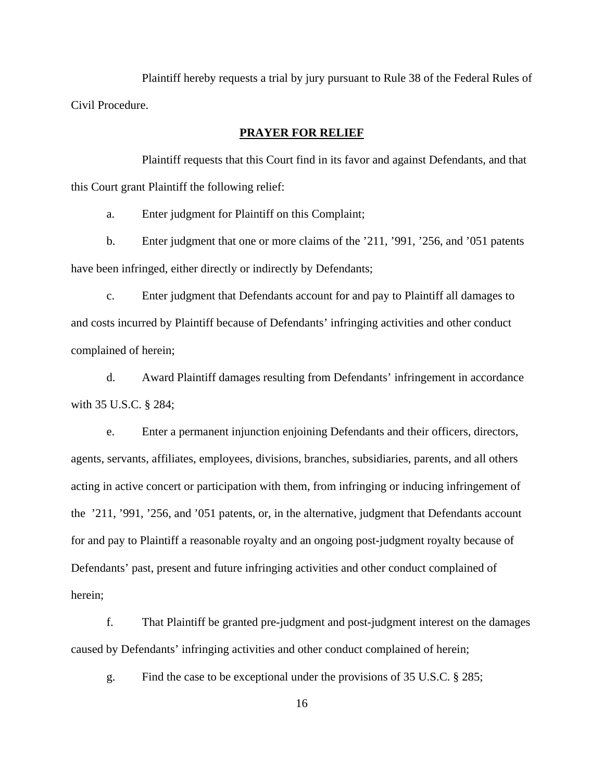Plaintiff hereby requests a trial by jury pursuant to Rule 38 of the Federal Rules of Civil Procedure.

# **PRAYER FOR RELIEF**

Plaintiff requests that this Court find in its favor and against Defendants, and that this Court grant Plaintiff the following relief:

a. Enter judgment for Plaintiff on this Complaint;

b. Enter judgment that one or more claims of the '211, '991, '256, and '051 patents have been infringed, either directly or indirectly by Defendants;

c. Enter judgment that Defendants account for and pay to Plaintiff all damages to and costs incurred by Plaintiff because of Defendants' infringing activities and other conduct complained of herein;

d. Award Plaintiff damages resulting from Defendants' infringement in accordance with 35 U.S.C. § 284;

e. Enter a permanent injunction enjoining Defendants and their officers, directors, agents, servants, affiliates, employees, divisions, branches, subsidiaries, parents, and all others acting in active concert or participation with them, from infringing or inducing infringement of the '211, '991, '256, and '051 patents, or, in the alternative, judgment that Defendants account for and pay to Plaintiff a reasonable royalty and an ongoing post-judgment royalty because of Defendants' past, present and future infringing activities and other conduct complained of herein;

f. That Plaintiff be granted pre-judgment and post-judgment interest on the damages caused by Defendants' infringing activities and other conduct complained of herein;

g. Find the case to be exceptional under the provisions of 35 U.S.C. § 285;